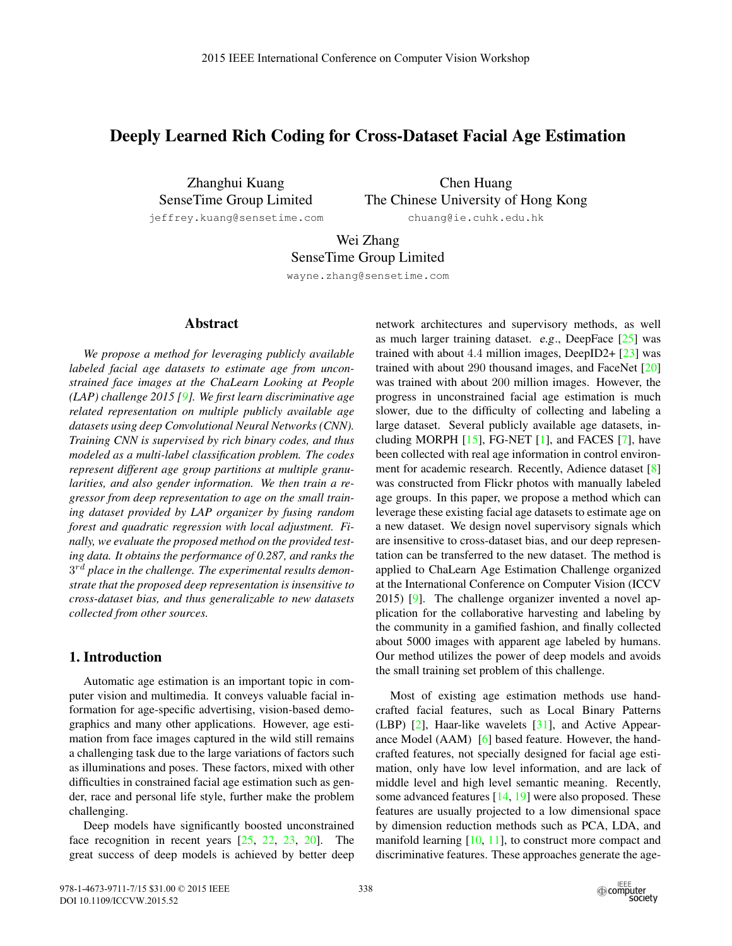# Deeply Learned Rich Coding for Cross-Dataset Facial Age Estimation

Zhanghui Kuang SenseTime Group Limited

Chen Huang The Chinese University of Hong Kong chuang@ie.cuhk.edu.hk

jeffrey.kuang@sensetime.com

Wei Zhang

SenseTime Group Limited

wayne.zhang@sensetime.com

### Abstract

*We propose a method for leveraging publicly available labeled facial age datasets to estimate age from unconstrained face images at the ChaLearn Looking at People (LAP) challenge 2015 [9]. We first learn discriminative age related representation on multiple publicly available age datasets using deep Convolutional Neural Networks (CNN). Training CNN is supervised by rich binary codes, and thus modeled as a multi-label classification problem. The codes represent different age group partitions at multiple granularities, and also gender information. We then train a regressor from deep representation to age on the small training dataset provided by LAP organizer by fusing random forest and quadratic regression with local adjustment. Finally, we evaluate the proposed method on the provided testing data. It obtains the performance of 0.287, and ranks the* 3rd *place in the challenge. The experimental results demonstrate that the proposed deep representation is insensitive to cross-dataset bias, and thus generalizable to new datasets collected from other sources.*

## 1. Introduction

Automatic age estimation is an important topic in computer vision and multimedia. It conveys valuable facial information for age-specific advertising, vision-based demographics and many other applications. However, age estimation from face images captured in the wild still remains a challenging task due to the large variations of factors such as illuminations and poses. These factors, mixed with other difficulties in constrained facial age estimation such as gender, race and personal life style, further make the problem challenging.

Deep models have significantly boosted unconstrained face recognition in recent years [25, 22, 23, 20]. The great success of deep models is achieved by better deep network architectures and supervisory methods, as well as much larger training dataset. e.g., DeepFace  $[25]$  was trained with about 4.4 million images, DeepID2+  $[23]$  was trained with about 290 thousand images, and FaceNet [20] was trained with about 200 million images. However, the progress in unconstrained facial age estimation is much slower, due to the difficulty of collecting and labeling a large dataset. Several publicly available age datasets, including MORPH  $[15]$ , FG-NET  $[1]$ , and FACES  $[7]$ , have been collected with real age information in control environment for academic research. Recently, Adience dataset [8] was constructed from Flickr photos with manually labeled age groups. In this paper, we propose a method which can leverage these existing facial age datasets to estimate age on a new dataset. We design novel supervisory signals which are insensitive to cross-dataset bias, and our deep representation can be transferred to the new dataset. The method is applied to ChaLearn Age Estimation Challenge organized at the International Conference on Computer Vision (ICCV 2015) [9]. The challenge organizer invented a novel application for the collaborative harvesting and labeling by the community in a gamified fashion, and finally collected about 5000 images with apparent age labeled by humans. Our method utilizes the power of deep models and avoids the small training set problem of this challenge.

Most of existing age estimation methods use handcrafted facial features, such as Local Binary Patterns (LBP) [2], Haar-like wavelets [31], and Active Appearance Model (AAM) [6] based feature. However, the handcrafted features, not specially designed for facial age estimation, only have low level information, and are lack of middle level and high level semantic meaning. Recently, some advanced features [14, 19] were also proposed. These features are usually projected to a low dimensional space by dimension reduction methods such as PCA, LDA, and manifold learning  $[10, 11]$ , to construct more compact and discriminative features. These approaches generate the age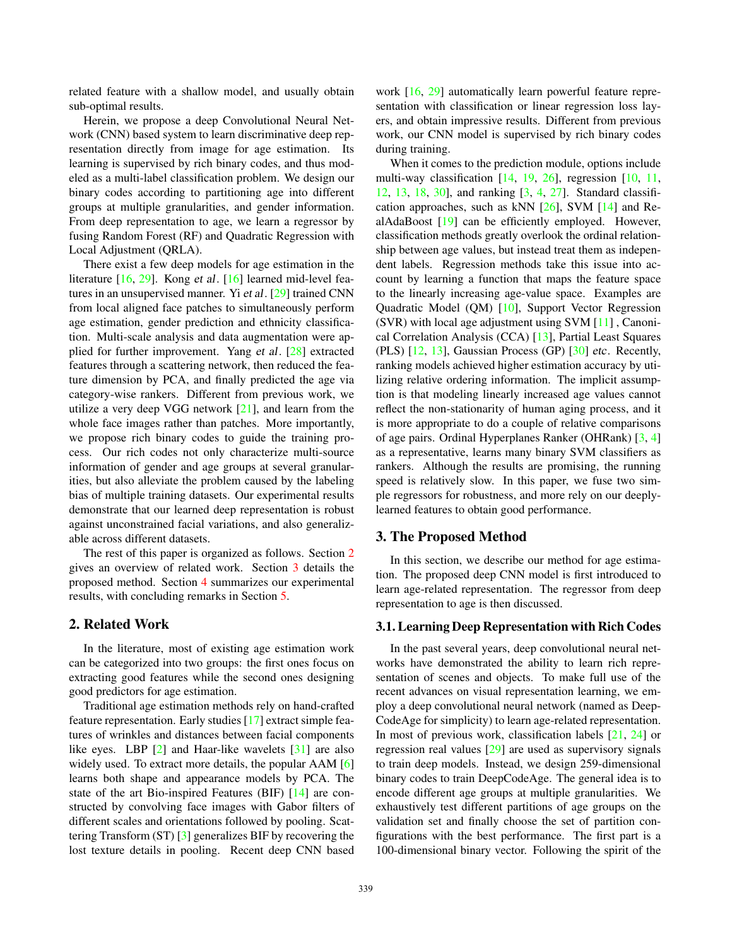related feature with a shallow model, and usually obtain sub-optimal results.

Herein, we propose a deep Convolutional Neural Network (CNN) based system to learn discriminative deep representation directly from image for age estimation. Its learning is supervised by rich binary codes, and thus modeled as a multi-label classification problem. We design our binary codes according to partitioning age into different groups at multiple granularities, and gender information. From deep representation to age, we learn a regressor by fusing Random Forest (RF) and Quadratic Regression with Local Adjustment (QRLA).

There exist a few deep models for age estimation in the literature [16, 29]. Kong et al. [16] learned mid-level features in an unsupervised manner. Yi et al. [29] trained CNN from local aligned face patches to simultaneously perform age estimation, gender prediction and ethnicity classification. Multi-scale analysis and data augmentation were applied for further improvement. Yang et al. [28] extracted features through a scattering network, then reduced the feature dimension by PCA, and finally predicted the age via category-wise rankers. Different from previous work, we utilize a very deep VGG network [21], and learn from the whole face images rather than patches. More importantly, we propose rich binary codes to guide the training process. Our rich codes not only characterize multi-source information of gender and age groups at several granularities, but also alleviate the problem caused by the labeling bias of multiple training datasets. Our experimental results demonstrate that our learned deep representation is robust against unconstrained facial variations, and also generalizable across different datasets.

The rest of this paper is organized as follows. Section 2 gives an overview of related work. Section 3 details the proposed method. Section 4 summarizes our experimental results, with concluding remarks in Section 5.

#### 2. Related Work

In the literature, most of existing age estimation work can be categorized into two groups: the first ones focus on extracting good features while the second ones designing good predictors for age estimation.

Traditional age estimation methods rely on hand-crafted feature representation. Early studies [17] extract simple features of wrinkles and distances between facial components like eyes. LBP [2] and Haar-like wavelets [31] are also widely used. To extract more details, the popular AAM [6] learns both shape and appearance models by PCA. The state of the art Bio-inspired Features (BIF) [14] are constructed by convolving face images with Gabor filters of different scales and orientations followed by pooling. Scattering Transform (ST) [3] generalizes BIF by recovering the lost texture details in pooling. Recent deep CNN based

work [16, 29] automatically learn powerful feature representation with classification or linear regression loss layers, and obtain impressive results. Different from previous work, our CNN model is supervised by rich binary codes during training.

When it comes to the prediction module, options include multi-way classification [14, 19, 26], regression [10, 11, 12, 13, 18, 30], and ranking [3, 4, 27]. Standard classification approaches, such as kNN  $[26]$ , SVM  $[14]$  and RealAdaBoost [19] can be efficiently employed. However, classification methods greatly overlook the ordinal relationship between age values, but instead treat them as independent labels. Regression methods take this issue into account by learning a function that maps the feature space to the linearly increasing age-value space. Examples are Quadratic Model (QM) [10], Support Vector Regression (SVR) with local age adjustment using SVM [11] , Canonical Correlation Analysis (CCA) [13], Partial Least Squares (PLS) [12, 13], Gaussian Process (GP) [30] etc. Recently, ranking models achieved higher estimation accuracy by utilizing relative ordering information. The implicit assumption is that modeling linearly increased age values cannot reflect the non-stationarity of human aging process, and it is more appropriate to do a couple of relative comparisons of age pairs. Ordinal Hyperplanes Ranker (OHRank) [3, 4] as a representative, learns many binary SVM classifiers as rankers. Although the results are promising, the running speed is relatively slow. In this paper, we fuse two simple regressors for robustness, and more rely on our deeplylearned features to obtain good performance.

## 3. The Proposed Method

In this section, we describe our method for age estimation. The proposed deep CNN model is first introduced to learn age-related representation. The regressor from deep representation to age is then discussed.

#### 3.1. Learning Deep Representation with Rich Codes

In the past several years, deep convolutional neural networks have demonstrated the ability to learn rich representation of scenes and objects. To make full use of the recent advances on visual representation learning, we employ a deep convolutional neural network (named as Deep-CodeAge for simplicity) to learn age-related representation. In most of previous work, classification labels [21, 24] or regression real values [29] are used as supervisory signals to train deep models. Instead, we design 259-dimensional binary codes to train DeepCodeAge. The general idea is to encode different age groups at multiple granularities. We exhaustively test different partitions of age groups on the validation set and finally choose the set of partition configurations with the best performance. The first part is a 100-dimensional binary vector. Following the spirit of the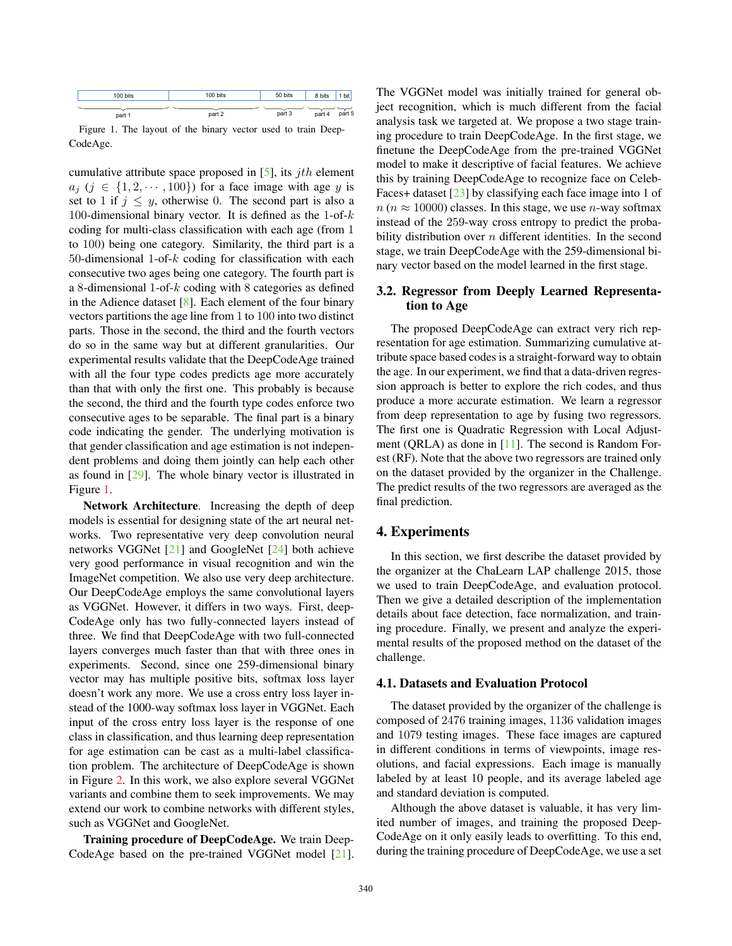

Figure 1. The layout of the binary vector used to train Deep-CodeAge.

cumulative attribute space proposed in  $[5]$ , its *jth* element  $a_j$  ( $j \in \{1, 2, \dots, 100\}$ ) for a face image with age y is set to 1 if  $j \leq y$ , otherwise 0. The second part is also a 100-dimensional binary vector. It is defined as the 1-of- $k$ coding for multi-class classification with each age (from 1 to 100) being one category. Similarity, the third part is a 50-dimensional 1-of- $k$  coding for classification with each consecutive two ages being one category. The fourth part is a 8-dimensional 1-of-k coding with 8 categories as defined in the Adience dataset [8]. Each element of the four binary vectors partitions the age line from 1 to 100 into two distinct parts. Those in the second, the third and the fourth vectors do so in the same way but at different granularities. Our experimental results validate that the DeepCodeAge trained with all the four type codes predicts age more accurately than that with only the first one. This probably is because the second, the third and the fourth type codes enforce two consecutive ages to be separable. The final part is a binary code indicating the gender. The underlying motivation is that gender classification and age estimation is not independent problems and doing them jointly can help each other as found in [29]. The whole binary vector is illustrated in Figure 1.

Network Architecture. Increasing the depth of deep models is essential for designing state of the art neural networks. Two representative very deep convolution neural networks VGGNet [21] and GoogleNet [24] both achieve very good performance in visual recognition and win the ImageNet competition. We also use very deep architecture. Our DeepCodeAge employs the same convolutional layers as VGGNet. However, it differs in two ways. First, deep-CodeAge only has two fully-connected layers instead of three. We find that DeepCodeAge with two full-connected layers converges much faster than that with three ones in experiments. Second, since one 259-dimensional binary vector may has multiple positive bits, softmax loss layer doesn't work any more. We use a cross entry loss layer instead of the 1000-way softmax loss layer in VGGNet. Each input of the cross entry loss layer is the response of one class in classification, and thus learning deep representation for age estimation can be cast as a multi-label classification problem. The architecture of DeepCodeAge is shown in Figure 2. In this work, we also explore several VGGNet variants and combine them to seek improvements. We may extend our work to combine networks with different styles, such as VGGNet and GoogleNet.

Training procedure of DeepCodeAge. We train Deep-CodeAge based on the pre-trained VGGNet model [21]. The VGGNet model was initially trained for general object recognition, which is much different from the facial analysis task we targeted at. We propose a two stage training procedure to train DeepCodeAge. In the first stage, we finetune the DeepCodeAge from the pre-trained VGGNet model to make it descriptive of facial features. We achieve this by training DeepCodeAge to recognize face on Celeb-Faces+ dataset [23] by classifying each face image into 1 of  $n (n \approx 10000)$  classes. In this stage, we use *n*-way softmax instead of the 259-way cross entropy to predict the probability distribution over  $n$  different identities. In the second stage, we train DeepCodeAge with the 259-dimensional binary vector based on the model learned in the first stage.

#### 3.2. Regressor from Deeply Learned Representation to Age

The proposed DeepCodeAge can extract very rich representation for age estimation. Summarizing cumulative attribute space based codes is a straight-forward way to obtain the age. In our experiment, we find that a data-driven regression approach is better to explore the rich codes, and thus produce a more accurate estimation. We learn a regressor from deep representation to age by fusing two regressors. The first one is Quadratic Regression with Local Adjustment (QRLA) as done in [11]. The second is Random Forest (RF). Note that the above two regressors are trained only on the dataset provided by the organizer in the Challenge. The predict results of the two regressors are averaged as the final prediction.

### 4. Experiments

In this section, we first describe the dataset provided by the organizer at the ChaLearn LAP challenge 2015, those we used to train DeepCodeAge, and evaluation protocol. Then we give a detailed description of the implementation details about face detection, face normalization, and training procedure. Finally, we present and analyze the experimental results of the proposed method on the dataset of the challenge.

#### 4.1. Datasets and Evaluation Protocol

The dataset provided by the organizer of the challenge is composed of 2476 training images, 1136 validation images and 1079 testing images. These face images are captured in different conditions in terms of viewpoints, image resolutions, and facial expressions. Each image is manually labeled by at least 10 people, and its average labeled age and standard deviation is computed.

Although the above dataset is valuable, it has very limited number of images, and training the proposed Deep-CodeAge on it only easily leads to overfitting. To this end, during the training procedure of DeepCodeAge, we use a set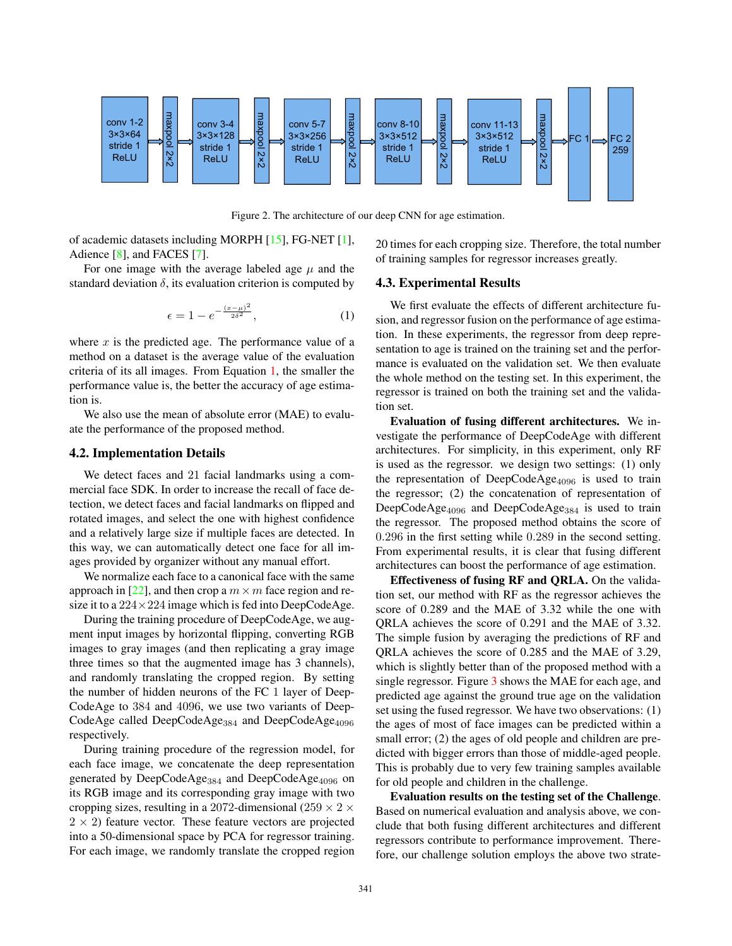

Figure 2. The architecture of our deep CNN for age estimation.

of academic datasets including MORPH [15], FG-NET [1], Adience [8], and FACES [7].

For one image with the average labeled age  $\mu$  and the standard deviation  $\delta$ , its evaluation criterion is computed by

$$
\epsilon = 1 - e^{-\frac{(x-\mu)^2}{2\delta^2}},\tag{1}
$$

where  $x$  is the predicted age. The performance value of a method on a dataset is the average value of the evaluation criteria of its all images. From Equation 1, the smaller the performance value is, the better the accuracy of age estimation is.

We also use the mean of absolute error (MAE) to evaluate the performance of the proposed method.

#### 4.2. Implementation Details

We detect faces and 21 facial landmarks using a commercial face SDK. In order to increase the recall of face detection, we detect faces and facial landmarks on flipped and rotated images, and select the one with highest confidence and a relatively large size if multiple faces are detected. In this way, we can automatically detect one face for all images provided by organizer without any manual effort.

We normalize each face to a canonical face with the same approach in [22], and then crop a  $m \times m$  face region and resize it to a  $224 \times 224$  image which is fed into DeepCodeAge.

During the training procedure of DeepCodeAge, we augment input images by horizontal flipping, converting RGB images to gray images (and then replicating a gray image three times so that the augmented image has 3 channels), and randomly translating the cropped region. By setting the number of hidden neurons of the FC 1 layer of Deep-CodeAge to 384 and 4096, we use two variants of Deep-CodeAge called DeepCodeAge<sub>384</sub> and DeepCodeAge<sub>4096</sub> respectively.

During training procedure of the regression model, for each face image, we concatenate the deep representation generated by DeepCodeAge<sub>384</sub> and DeepCodeAge<sub>4096</sub> on its RGB image and its corresponding gray image with two cropping sizes, resulting in a 2072-dimensional (259  $\times$  2  $\times$  $2 \times 2$ ) feature vector. These feature vectors are projected into a 50-dimensional space by PCA for regressor training. For each image, we randomly translate the cropped region 20 times for each cropping size. Therefore, the total number of training samples for regressor increases greatly.

#### 4.3. Experimental Results

We first evaluate the effects of different architecture fusion, and regressor fusion on the performance of age estimation. In these experiments, the regressor from deep representation to age is trained on the training set and the performance is evaluated on the validation set. We then evaluate the whole method on the testing set. In this experiment, the regressor is trained on both the training set and the validation set.

Evaluation of fusing different architectures. We investigate the performance of DeepCodeAge with different architectures. For simplicity, in this experiment, only RF is used as the regressor. we design two settings: (1) only the representation of DeepCodeAge $_{4096}$  is used to train the regressor; (2) the concatenation of representation of DeepCode $\text{Age}_{4096}$  and DeepCode $\text{Age}_{384}$  is used to train the regressor. The proposed method obtains the score of 0.296 in the first setting while 0.289 in the second setting. From experimental results, it is clear that fusing different architectures can boost the performance of age estimation.

Effectiveness of fusing RF and QRLA. On the validation set, our method with RF as the regressor achieves the score of 0.289 and the MAE of 3.32 while the one with QRLA achieves the score of 0.291 and the MAE of 3.32. The simple fusion by averaging the predictions of RF and QRLA achieves the score of 0.285 and the MAE of 3.29, which is slightly better than of the proposed method with a single regressor. Figure 3 shows the MAE for each age, and predicted age against the ground true age on the validation set using the fused regressor. We have two observations: (1) the ages of most of face images can be predicted within a small error; (2) the ages of old people and children are predicted with bigger errors than those of middle-aged people. This is probably due to very few training samples available for old people and children in the challenge.

Evaluation results on the testing set of the Challenge. Based on numerical evaluation and analysis above, we conclude that both fusing different architectures and different regressors contribute to performance improvement. Therefore, our challenge solution employs the above two strate-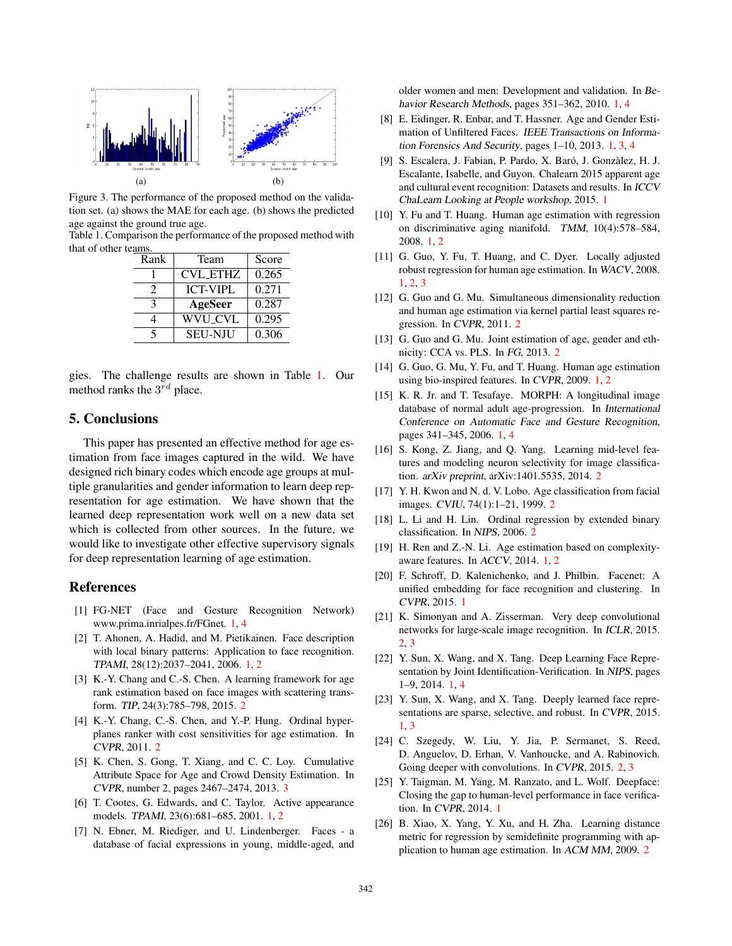

Figure 3. The performance of the proposed method on the validation set. (a) shows the MAE for each age. (b) shows the predicted age against the ground true age.

Table 1. Comparison the performance of the proposed method with that of other teams.

| Rank | Team            | Score |
|------|-----------------|-------|
|      | <b>CVL_ETHZ</b> | 0.265 |
| 2    | <b>ICT-VIPL</b> | 0.271 |
| 3    | AgeSeer         | 0.287 |
|      | <b>WVU_CVL</b>  | 0.295 |
|      | <b>SEU-NJU</b>  | 0.306 |

gies. The challenge results are shown in Table 1. Our method ranks the  $3^{rd}$  place.

### 5. Conclusions

This paper has presented an effective method for age estimation from face images captured in the wild. We have designed rich binary codes which encode age groups at multiple granularities and gender information to learn deep representation for age estimation. We have shown that the learned deep representation work well on a new data set which is collected from other sources. In the future, we would like to investigate other effective supervisory signals for deep representation learning of age estimation.

### References

- [1] FG-NET (Face and Gesture Recognition Network) www.prima.inrialpes.fr/FGnet. 1, 4
- [2] T. Ahonen, A. Hadid, and M. Pietikainen. Face description with local binary patterns: Application to face recognition. TPAMI, 28(12):2037–2041, 2006. 1, 2
- [3] K.-Y. Chang and C.-S. Chen. A learning framework for age rank estimation based on face images with scattering transform. TIP, 24(3):785–798, 2015. 2
- [4] K.-Y. Chang, C.-S. Chen, and Y.-P. Hung. Ordinal hyperplanes ranker with cost sensitivities for age estimation. In CVPR, 2011. 2
- [5] K. Chen, S. Gong, T. Xiang, and C. C. Loy. Cumulative Attribute Space for Age and Crowd Density Estimation. In CVPR, number 2, pages 2467–2474, 2013. 3
- [6] T. Cootes, G. Edwards, and C. Taylor. Active appearance models. TPAMI, 23(6):681–685, 2001. 1, 2
- [7] N. Ebner, M. Riediger, and U. Lindenberger. Faces a database of facial expressions in young, middle-aged, and

older women and men: Development and validation. In Behavior Research Methods, pages 351–362, 2010. 1, 4

- [8] E. Eidinger, R. Enbar, and T. Hassner. Age and Gender Estimation of Unfiltered Faces. IEEE Transactions on Information Forensics And Security, pages 1–10, 2013. 1, 3, 4
- [9] S. Escalera, J. Fabian, P. Pardo, X. Baró, J. Gonzàlez, H. J. Escalante, Isabelle, and Guyon. Chalearn 2015 apparent age and cultural event recognition: Datasets and results. In ICCV ChaLearn Looking at People workshop, 2015. 1
- [10] Y. Fu and T. Huang. Human age estimation with regression on discriminative aging manifold. TMM, 10(4):578–584, 2008. 1, 2
- [11] G. Guo, Y. Fu, T. Huang, and C. Dyer. Locally adjusted robust regression for human age estimation. In WACV, 2008. 1, 2, 3
- [12] G. Guo and G. Mu. Simultaneous dimensionality reduction and human age estimation via kernel partial least squares regression. In CVPR, 2011. 2
- [13] G. Guo and G. Mu. Joint estimation of age, gender and ethnicity: CCA vs. PLS. In FG, 2013. 2
- [14] G. Guo, G. Mu, Y. Fu, and T. Huang. Human age estimation using bio-inspired features. In CVPR, 2009. 1, 2
- [15] K. R. Jr. and T. Tesafaye. MORPH: A longitudinal image database of normal adult age-progression. In International Conference on Automatic Face and Gesture Recognition, pages 341–345, 2006. 1, 4
- [16] S. Kong, Z. Jiang, and Q. Yang. Learning mid-level features and modeling neuron selectivity for image classification. arXiv preprint, arXiv:1401.5535, 2014. 2
- [17] Y. H. Kwon and N. d. V. Lobo. Age classification from facial images. CVIU, 74(1):1–21, 1999. 2
- [18] L. Li and H. Lin. Ordinal regression by extended binary classification. In NIPS, 2006. 2
- [19] H. Ren and Z.-N. Li. Age estimation based on complexityaware features. In ACCV, 2014. 1, 2
- [20] F. Schroff, D. Kalenichenko, and J. Philbin. Facenet: A unified embedding for face recognition and clustering. In CVPR, 2015. 1
- [21] K. Simonyan and A. Zisserman. Very deep convolutional networks for large-scale image recognition. In ICLR, 2015. 2, 3
- [22] Y. Sun, X. Wang, and X. Tang. Deep Learning Face Representation by Joint Identification-Verification. In NIPS, pages 1–9, 2014. 1, 4
- [23] Y. Sun, X. Wang, and X. Tang. Deeply learned face representations are sparse, selective, and robust. In CVPR, 2015. 1, 3
- [24] C. Szegedy, W. Liu, Y. Jia, P. Sermanet, S. Reed, D. Anguelov, D. Erhan, V. Vanhoucke, and A. Rabinovich. Going deeper with convolutions. In CVPR, 2015. 2, 3
- [25] Y. Taigman, M. Yang, M. Ranzato, and L. Wolf. Deepface: Closing the gap to human-level performance in face verification. In CVPR, 2014. 1
- [26] B. Xiao, X. Yang, Y. Xu, and H. Zha. Learning distance metric for regression by semidefinite programming with application to human age estimation. In ACM MM, 2009. 2